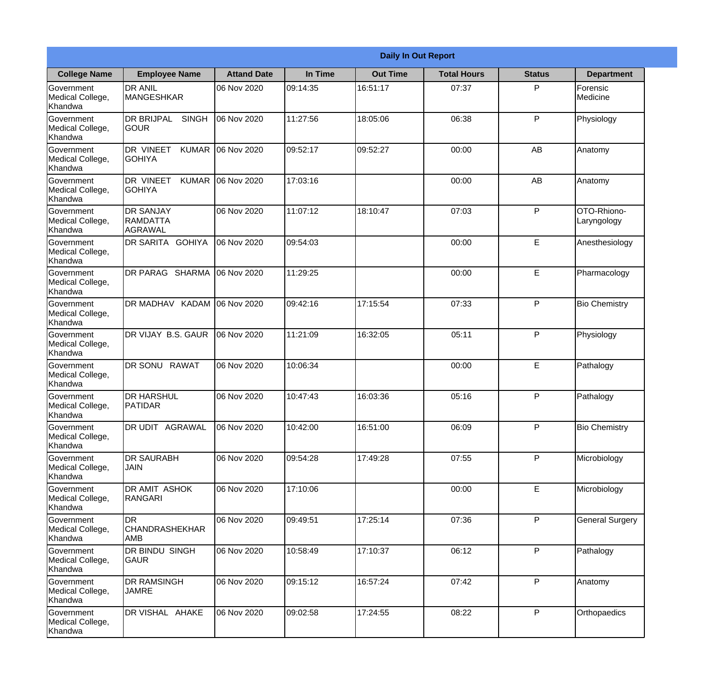|                                                  |                                                   |                    |          | <b>Daily In Out Report</b> |                    |               |                            |
|--------------------------------------------------|---------------------------------------------------|--------------------|----------|----------------------------|--------------------|---------------|----------------------------|
| <b>College Name</b>                              | <b>Employee Name</b>                              | <b>Attand Date</b> | In Time  | <b>Out Time</b>            | <b>Total Hours</b> | <b>Status</b> | <b>Department</b>          |
| Government<br>Medical College,<br>Khandwa        | <b>DR ANIL</b><br>MANGESHKAR                      | 06 Nov 2020        | 09:14:35 | 16:51:17                   | 07:37              | P             | Forensic<br>Medicine       |
| Government<br>Medical College,<br>Khandwa        | <b>DR BRIJPAL</b><br><b>SINGH</b><br> GOUR        | 06 Nov 2020        | 11:27:56 | 18:05:06                   | 06:38              | P             | Physiology                 |
| <b>Government</b><br>Medical College,<br>Khandwa | <b>DR VINEET</b><br><b>KUMAR</b><br><b>GOHIYA</b> | 06 Nov 2020        | 09:52:17 | 09:52:27                   | 00:00              | AB            | Anatomy                    |
| <b>Government</b><br>Medical College,<br>Khandwa | <b>DR VINEET</b><br><b>KUMAR</b><br><b>GOHIYA</b> | 06 Nov 2020        | 17:03:16 |                            | 00:00              | AB            | Anatomy                    |
| Government<br>Medical College,<br>Khandwa        | <b>DR SANJAY</b><br>RAMDATTA<br>AGRAWAL           | 06 Nov 2020        | 11:07:12 | 18:10:47                   | 07:03              | P             | OTO-Rhiono-<br>Laryngology |
| Government<br>Medical College,<br>Khandwa        | DR SARITA GOHIYA                                  | 06 Nov 2020        | 09:54:03 |                            | 00:00              | E             | Anesthesiology             |
| <b>Government</b><br>Medical College,<br>Khandwa | DR PARAG SHARMA                                   | 06 Nov 2020        | 11:29:25 |                            | 00:00              | E             | Pharmacology               |
| <b>Government</b><br>Medical College,<br>Khandwa | <b>DR MADHAV KADAM</b>                            | 06 Nov 2020        | 09:42:16 | 17:15:54                   | 07:33              | P             | <b>Bio Chemistry</b>       |
| Government<br>Medical College,<br>Khandwa        | DR VIJAY B.S. GAUR                                | 06 Nov 2020        | 11:21:09 | 16:32:05                   | 05:11              | P             | Physiology                 |
| Government<br>Medical College,<br>Khandwa        | <b>RAWAT</b><br><b>DR SONU</b>                    | 06 Nov 2020        | 10:06:34 |                            | 00:00              | $\mathsf E$   | Pathalogy                  |
| Government<br>Medical College,<br>Khandwa        | <b>DR HARSHUL</b><br><b>PATIDAR</b>               | 06 Nov 2020        | 10:47:43 | 16:03:36                   | 05:16              | P             | Pathalogy                  |
| Government<br>Medical College,<br>Khandwa        | <b>DR UDIT AGRAWAL</b>                            | 06 Nov 2020        | 10:42:00 | 16:51:00                   | 06:09              | P             | <b>Bio Chemistry</b>       |
| Government<br>Medical College,<br>Khandwa        | <b>DR SAURABH</b><br><b>JAIN</b>                  | 06 Nov 2020        | 09:54:28 | 17:49:28                   | 07:55              | P             | Microbiology               |
| Government<br>Medical College,<br>Khandwa        | DR AMIT ASHOK<br>RANGARI                          | 06 Nov 2020        | 17:10:06 |                            | 00:00              | $\mathsf E$   | Microbiology               |
| Government<br>Medical College,<br>Khandwa        | IDR.<br><b>CHANDRASHEKHAR</b><br><b>AMB</b>       | 06 Nov 2020        | 09:49:51 | 17:25:14                   | 07:36              | $\mathsf{P}$  | <b>General Surgery</b>     |
| Government<br>Medical College,<br>Khandwa        | DR BINDU SINGH<br><b>GAUR</b>                     | 06 Nov 2020        | 10:58:49 | 17:10:37                   | 06:12              | P             | Pathalogy                  |
| Government<br>Medical College,<br>Khandwa        | <b>DR RAMSINGH</b><br><b>JAMRE</b>                | 06 Nov 2020        | 09:15:12 | 16:57:24                   | 07:42              | P             | Anatomy                    |
| Government<br>Medical College,<br>Khandwa        | DR VISHAL AHAKE                                   | 06 Nov 2020        | 09:02:58 | 17:24:55                   | 08:22              | P             | Orthopaedics               |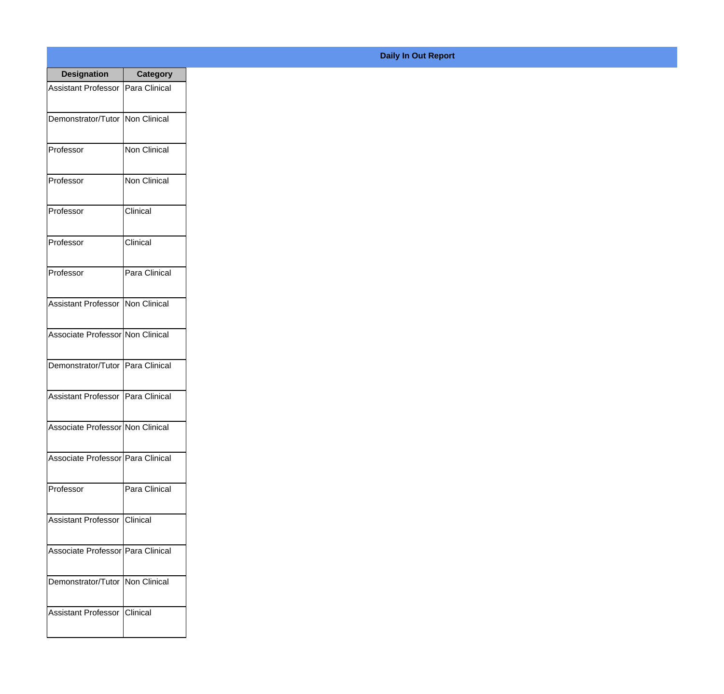| <b>Designation</b>                  | <b>Category</b>     |
|-------------------------------------|---------------------|
| Assistant Professor                 | Para Clinical       |
| Demonstrator/Tutor                  | Non Clinical        |
| Professor                           | Non Clinical        |
| Professor                           | <b>Non Clinical</b> |
| Professor                           | Clinical            |
| Professor                           | Clinical            |
| Professor                           | Para Clinical       |
| Assistant Professor   Non Clinical  |                     |
| Associate Professor Non Clinical    |                     |
| Demonstrator/Tutor                  | Para Clinical       |
| <b>Assistant Professor</b>          | Para Clinical       |
| Associate Professor Non Clinical    |                     |
| Associate Professor   Para Clinical |                     |
| Professor                           | Para Clinical       |
| Assistant Professor   Clinical      |                     |
| Associate Professor   Para Clinical |                     |
| Demonstrator/Tutor   Non Clinical   |                     |
| Assistant Professor   Clinical      |                     |

## **Daily In Out Report**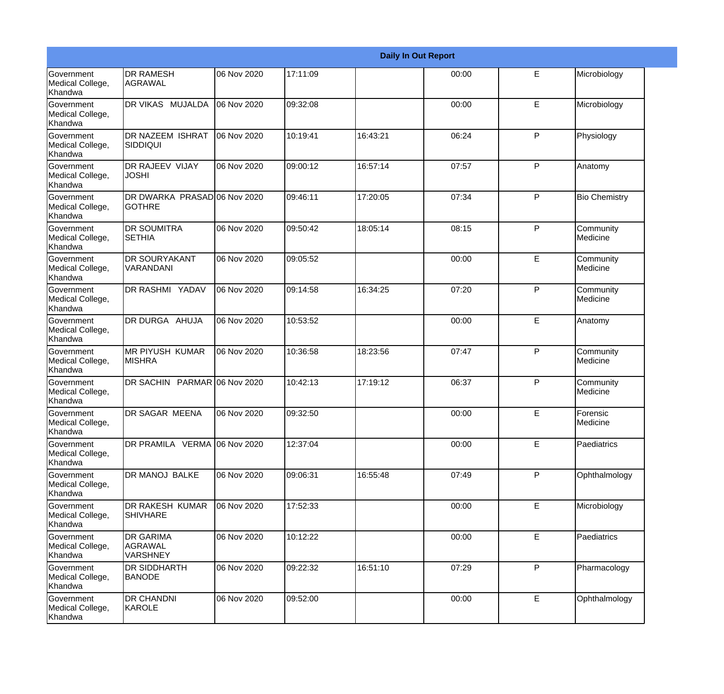|                                                         |                                                       |             |          |          | <b>Daily In Out Report</b> |              |                       |
|---------------------------------------------------------|-------------------------------------------------------|-------------|----------|----------|----------------------------|--------------|-----------------------|
| Government<br>Medical College,<br>Khandwa               | <b>DR RAMESH</b><br>AGRAWAL                           | 06 Nov 2020 | 17:11:09 |          | 00:00                      | E            | Microbiology          |
| <b>Government</b><br>Medical College,<br>Khandwa        | DR VIKAS MUJALDA                                      | 06 Nov 2020 | 09:32:08 |          | 00:00                      | E            | Microbiology          |
| <b>Government</b><br>Medical College,<br>Khandwa        | <b>DR NAZEEM ISHRAT</b><br><b>SIDDIQUI</b>            | 06 Nov 2020 | 10:19:41 | 16:43:21 | 06:24                      | P            | Physiology            |
| <b>Government</b><br>Medical College,<br>Khandwa        | <b>DR RAJEEV VIJAY</b><br><b>JOSHI</b>                | 06 Nov 2020 | 09:00:12 | 16:57:14 | 07:57                      | P            | Anatomy               |
| Government<br>Medical College,<br>Khandwa               | DR DWARKA PRASADO6 Nov 2020<br><b>GOTHRE</b>          |             | 09:46:11 | 17:20:05 | 07:34                      | $\mathsf{P}$ | <b>Bio Chemistry</b>  |
| Government<br>Medical College,<br><b>Khandwa</b>        | <b>DR SOUMITRA</b><br><b>SETHIA</b>                   | 06 Nov 2020 | 09:50:42 | 18:05:14 | 08:15                      | $\mathsf{P}$ | Community<br>Medicine |
| Government<br>Medical College,<br>Khandwa               | <b>DR SOURYAKANT</b><br>VARANDANI                     | 06 Nov 2020 | 09:05:52 |          | 00:00                      | E            | Community<br>Medicine |
| Government<br>Medical College,<br>Khandwa               | DR RASHMI YADAV                                       | 06 Nov 2020 | 09:14:58 | 16:34:25 | 07:20                      | $\mathsf{P}$ | Community<br>Medicine |
| Government<br>Medical College,<br>Khandwa               | DR DURGA AHUJA                                        | 06 Nov 2020 | 10:53:52 |          | 00:00                      | E            | Anatomy               |
| <b>Government</b><br>Medical College,<br>Khandwa        | <b>MR PIYUSH KUMAR</b><br><b>MISHRA</b>               | 06 Nov 2020 | 10:36:58 | 18:23:56 | 07:47                      | P            | Community<br>Medicine |
| <b>Government</b><br>Medical College,<br><b>Khandwa</b> | DR SACHIN PARMAR 06 Nov 2020                          |             | 10:42:13 | 17:19:12 | 06:37                      | P            | Community<br>Medicine |
| Government<br>Medical College,<br>Khandwa               | DR SAGAR MEENA                                        | 06 Nov 2020 | 09:32:50 |          | 00:00                      | E            | Forensic<br>Medicine  |
| Government<br>Medical College,<br>Khandwa               | DR PRAMILA VERMA 06 Nov 2020                          |             | 12:37:04 |          | 00:00                      | E            | Paediatrics           |
| <b>Government</b><br>Medical College,<br>Khandwa        | DR MANOJ BALKE                                        | 06 Nov 2020 | 09:06:31 | 16:55:48 | 07:49                      | $\mathsf{P}$ | Ophthalmology         |
| Government<br>Medical College,<br>Khandwa               | DR RAKESH KUMAR<br><b>SHIVHARE</b>                    | 06 Nov 2020 | 17:52:33 |          | 00:00                      | E            | Microbiology          |
| Government<br>Medical College,<br>Khandwa               | <b>DR GARIMA</b><br><b>AGRAWAL</b><br><b>VARSHNEY</b> | 06 Nov 2020 | 10:12:22 |          | 00:00                      | E            | Paediatrics           |
| Government<br>Medical College,<br>Khandwa               | <b>DR SIDDHARTH</b><br><b>BANODE</b>                  | 06 Nov 2020 | 09:22:32 | 16:51:10 | 07:29                      | P            | Pharmacology          |
| Government<br>Medical College,<br>Khandwa               | <b>DR CHANDNI</b><br>KAROLE                           | 06 Nov 2020 | 09:52:00 |          | 00:00                      | E            | Ophthalmology         |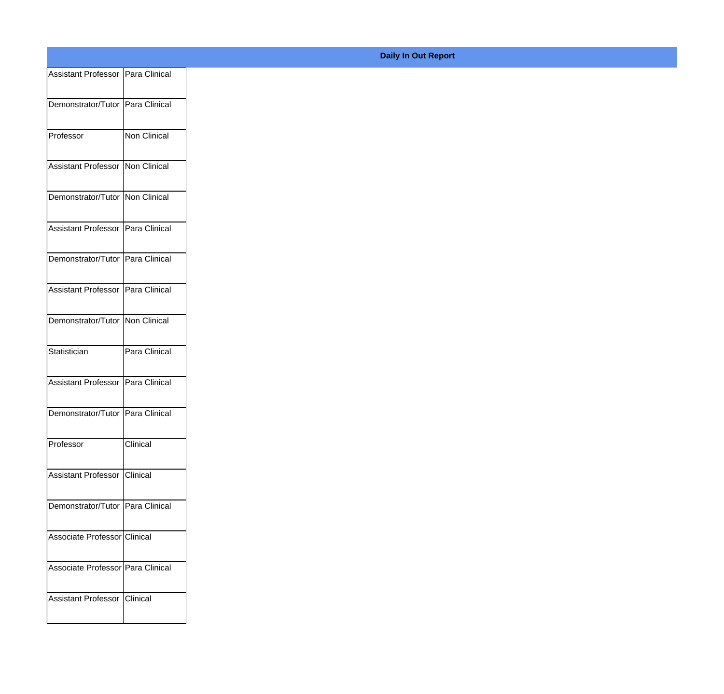| Assistant Professor Para Clinical   |               |
|-------------------------------------|---------------|
| Demonstrator/Tutor Para Clinical    |               |
|                                     |               |
| Professor                           | Non Clinical  |
| Assistant Professor Non Clinical    |               |
|                                     |               |
| Demonstrator/Tutor Non Clinical     |               |
| Assistant Professor Para Clinical   |               |
|                                     |               |
| Demonstrator/Tutor Para Clinical    |               |
| Assistant Professor Para Clinical   |               |
|                                     |               |
| Demonstrator/Tutor Non Clinical     |               |
| Statistician                        | Para Clinical |
|                                     |               |
| Assistant Professor   Para Clinical |               |
| Demonstrator/Tutor Para Clinical    |               |
|                                     |               |
| Professor                           | Clinical      |
| Assistant Professor Clinical        |               |
|                                     |               |
| Demonstrator/Tutor Para Clinical    |               |
| Associate Professor Clinical        |               |
|                                     |               |
| Associate Professor Para Clinical   |               |
| Assistant Professor Clinical        |               |
|                                     |               |
|                                     |               |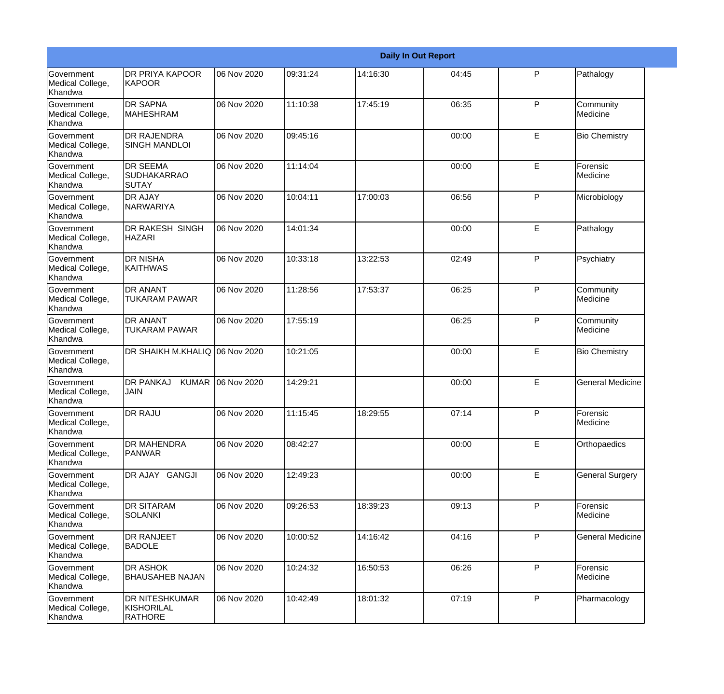|                                                  |                                                       |             |          |          | <b>Daily In Out Report</b> |   |                             |
|--------------------------------------------------|-------------------------------------------------------|-------------|----------|----------|----------------------------|---|-----------------------------|
| <b>Government</b><br>Medical College,<br>Khandwa | <b>DR PRIYA KAPOOR</b><br><b>KAPOOR</b>               | 06 Nov 2020 | 09:31:24 | 14:16:30 | 04:45                      | P | Pathalogy                   |
| Government<br>Medical College,<br>Khandwa        | <b>DR SAPNA</b><br><b>MAHESHRAM</b>                   | 06 Nov 2020 | 11:10:38 | 17:45:19 | 06:35                      | P | Community<br>Medicine       |
| <b>Government</b><br>Medical College,<br>Khandwa | <b>DR RAJENDRA</b><br><b>SINGH MANDLOI</b>            | 06 Nov 2020 | 09:45:16 |          | 00:00                      | E | <b>Bio Chemistry</b>        |
| <b>Government</b><br>Medical College,<br>Khandwa | <b>DR SEEMA</b><br><b>SUDHAKARRAO</b><br>SUTAY        | 06 Nov 2020 | 11:14:04 |          | 00:00                      | E | Forensic<br>Medicine        |
| <b>Government</b><br>Medical College,<br>Khandwa | <b>DR AJAY</b><br><b>NARWARIYA</b>                    | 06 Nov 2020 | 10:04:11 | 17:00:03 | 06:56                      | P | Microbiology                |
| Government<br>Medical College,<br>Khandwa        | <b>DR RAKESH SINGH</b><br><b>HAZARI</b>               | 06 Nov 2020 | 14:01:34 |          | 00:00                      | E | Pathalogy                   |
| Government<br>Medical College,<br>Khandwa        | <b>DR NISHA</b><br><b>KAITHWAS</b>                    | 06 Nov 2020 | 10:33:18 | 13:22:53 | 02:49                      | P | Psychiatry                  |
| Government<br>Medical College,<br>Khandwa        | <b>DR ANANT</b><br><b>TUKARAM PAWAR</b>               | 06 Nov 2020 | 11:28:56 | 17:53:37 | 06:25                      | P | Community<br>Medicine       |
| <b>Government</b><br>Medical College,<br>Khandwa | <b>DR ANANT</b><br><b>TUKARAM PAWAR</b>               | 06 Nov 2020 | 17:55:19 |          | 06:25                      | P | Community<br>Medicine       |
| Government<br>Medical College,<br>Khandwa        | DR SHAIKH M.KHALIQ 06 Nov 2020                        |             | 10:21:05 |          | 00:00                      | E | <b>Bio Chemistry</b>        |
| <b>Government</b><br>Medical College,<br>Khandwa | <b>DR PANKAJ</b><br><b>KUMAR</b><br><b>JAIN</b>       | 06 Nov 2020 | 14:29:21 |          | 00:00                      | E | General Medicine            |
| Government<br>Medical College,<br>Khandwa        | <b>DR RAJU</b>                                        | 06 Nov 2020 | 11:15:45 | 18:29:55 | 07:14                      | P | <b>Forensic</b><br>Medicine |
| Government<br>Medical College,<br>Khandwa        | <b>DR MAHENDRA</b><br>PANWAR                          | 06 Nov 2020 | 08:42:27 |          | 00:00                      | E | Orthopaedics                |
| Government<br>Medical College,<br>Khandwa        | DR AJAY GANGJI                                        | 06 Nov 2020 | 12:49:23 |          | 00:00                      | E | <b>General Surgery</b>      |
| Government<br>Medical College,<br>Khandwa        | <b>DR SITARAM</b><br>SOLANKI                          | 06 Nov 2020 | 09:26:53 | 18:39:23 | 09:13                      | P | Forensic<br>Medicine        |
| Government<br>Medical College,<br>Khandwa        | <b>DR RANJEET</b><br><b>BADOLE</b>                    | 06 Nov 2020 | 10:00:52 | 14:16:42 | 04:16                      | P | <b>General Medicine</b>     |
| Government<br>Medical College,<br>Khandwa        | <b>DR ASHOK</b><br><b>BHAUSAHEB NAJAN</b>             | 06 Nov 2020 | 10:24:32 | 16:50:53 | 06:26                      | P | Forensic<br>Medicine        |
| Government<br>Medical College,<br>Khandwa        | <b>DR NITESHKUMAR</b><br>KISHORILAL<br><b>RATHORE</b> | 06 Nov 2020 | 10:42:49 | 18:01:32 | 07:19                      | P | Pharmacology                |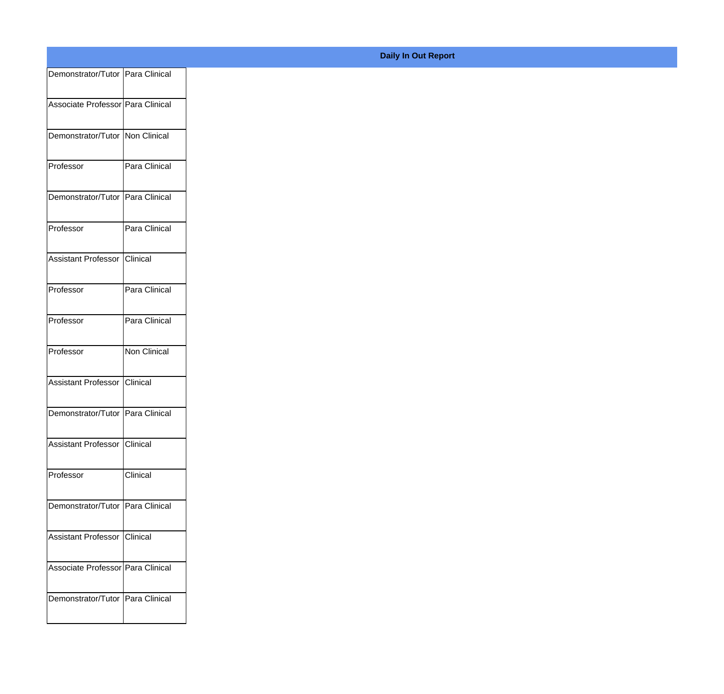| Demonstrator/Tutor   Para Clinical<br>Associate Professor Para Clinical<br>Demonstrator/Tutor   Non Clinical<br>Para Clinical<br>Demonstrator/Tutor   Para Clinical<br>Para Clinical<br>Assistant Professor Clinical<br>Para Clinical<br>Para Clinical<br>Non Clinical<br>Assistant Professor Clinical<br>Demonstrator/Tutor   Para Clinical<br>Assistant Professor Clinical<br>Clinical<br>Demonstrator/Tutor   Para Clinical<br>Assistant Professor Clinical<br>Associate Professor Para Clinical<br>Demonstrator/Tutor   Para Clinical |           |  |
|-------------------------------------------------------------------------------------------------------------------------------------------------------------------------------------------------------------------------------------------------------------------------------------------------------------------------------------------------------------------------------------------------------------------------------------------------------------------------------------------------------------------------------------------|-----------|--|
|                                                                                                                                                                                                                                                                                                                                                                                                                                                                                                                                           |           |  |
|                                                                                                                                                                                                                                                                                                                                                                                                                                                                                                                                           |           |  |
|                                                                                                                                                                                                                                                                                                                                                                                                                                                                                                                                           |           |  |
|                                                                                                                                                                                                                                                                                                                                                                                                                                                                                                                                           | Professor |  |
|                                                                                                                                                                                                                                                                                                                                                                                                                                                                                                                                           |           |  |
|                                                                                                                                                                                                                                                                                                                                                                                                                                                                                                                                           | Professor |  |
|                                                                                                                                                                                                                                                                                                                                                                                                                                                                                                                                           |           |  |
|                                                                                                                                                                                                                                                                                                                                                                                                                                                                                                                                           | Professor |  |
|                                                                                                                                                                                                                                                                                                                                                                                                                                                                                                                                           | Professor |  |
|                                                                                                                                                                                                                                                                                                                                                                                                                                                                                                                                           | Professor |  |
|                                                                                                                                                                                                                                                                                                                                                                                                                                                                                                                                           |           |  |
|                                                                                                                                                                                                                                                                                                                                                                                                                                                                                                                                           |           |  |
|                                                                                                                                                                                                                                                                                                                                                                                                                                                                                                                                           |           |  |
|                                                                                                                                                                                                                                                                                                                                                                                                                                                                                                                                           | Professor |  |
|                                                                                                                                                                                                                                                                                                                                                                                                                                                                                                                                           |           |  |
|                                                                                                                                                                                                                                                                                                                                                                                                                                                                                                                                           |           |  |
|                                                                                                                                                                                                                                                                                                                                                                                                                                                                                                                                           |           |  |
|                                                                                                                                                                                                                                                                                                                                                                                                                                                                                                                                           |           |  |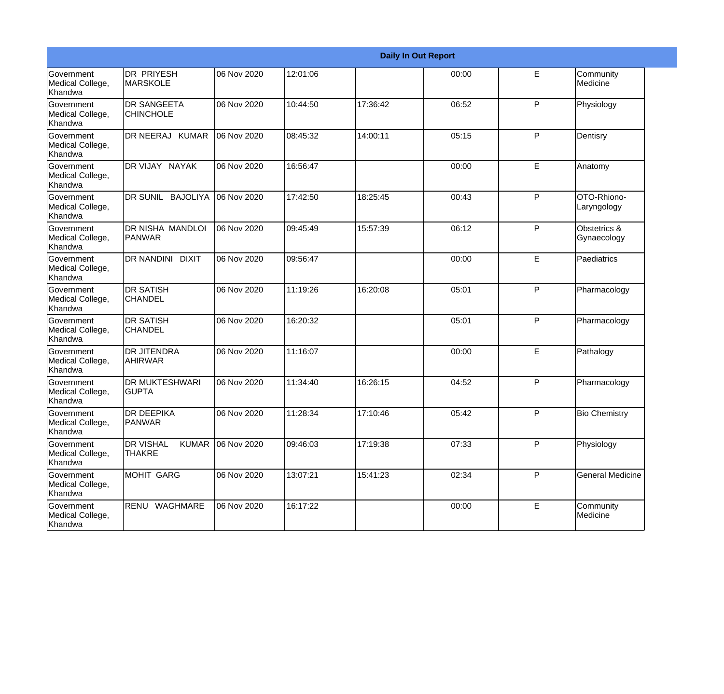|                                                         |                                                   |             |          |          | <b>Daily In Out Report</b> |    |                             |
|---------------------------------------------------------|---------------------------------------------------|-------------|----------|----------|----------------------------|----|-----------------------------|
| Government<br>Medical College,<br>Khandwa               | <b>DR PRIYESH</b><br>MARSKOLE                     | 06 Nov 2020 | 12:01:06 |          | 00:00                      | E  | Community<br>Medicine       |
| Government<br>Medical College,<br>Khandwa               | <b>DR SANGEETA</b><br><b>CHINCHOLE</b>            | 06 Nov 2020 | 10:44:50 | 17:36:42 | 06:52                      | P  | Physiology                  |
| <b>Government</b><br>Medical College,<br>Khandwa        | DR NEERAJ KUMAR                                   | 06 Nov 2020 | 08:45:32 | 14:00:11 | 05:15                      | P  | Dentisry                    |
| Government<br>Medical College,<br>Khandwa               | DR VIJAY NAYAK                                    | 06 Nov 2020 | 16:56:47 |          | 00:00                      | E  | Anatomy                     |
| Government<br>Medical College,<br>Khandwa               | DR SUNIL BAJOLIYA                                 | 06 Nov 2020 | 17:42:50 | 18:25:45 | 00:43                      | P  | OTO-Rhiono-<br>Laryngology  |
| <b>Government</b><br>Medical College,<br><b>Khandwa</b> | <b>IDR NISHA MANDLOI</b><br><b>PANWAR</b>         | 06 Nov 2020 | 09:45:49 | 15:57:39 | 06:12                      | P  | Obstetrics &<br>Gynaecology |
| <b>Government</b><br>Medical College,<br>Khandwa        | DR NANDINI DIXIT                                  | 06 Nov 2020 | 09:56:47 |          | 00:00                      | E  | Paediatrics                 |
| Government<br>Medical College,<br>Khandwa               | <b>DR SATISH</b><br><b>CHANDEL</b>                | 06 Nov 2020 | 11:19:26 | 16:20:08 | 05:01                      | P  | Pharmacology                |
| Government<br>Medical College,<br>Khandwa               | <b>DR SATISH</b><br><b>CHANDEL</b>                | 06 Nov 2020 | 16:20:32 |          | 05:01                      | P  | Pharmacology                |
| <b>Government</b><br>Medical College,<br>Khandwa        | <b>DR JITENDRA</b><br>AHIRWAR                     | 06 Nov 2020 | 11:16:07 |          | 00:00                      | E. | Pathalogy                   |
| <b>Government</b><br>Medical College,<br>Khandwa        | <b>DR MUKTESHWARI</b><br><b>GUPTA</b>             | 06 Nov 2020 | 11:34:40 | 16:26:15 | 04:52                      | P  | Pharmacology                |
| Government<br>Medical College,<br>Khandwa               | <b>DR DEEPIKA</b><br><b>PANWAR</b>                | 06 Nov 2020 | 11:28:34 | 17:10:46 | 05:42                      | P  | <b>Bio Chemistry</b>        |
| Government<br>Medical College,<br>Khandwa               | <b>DR VISHAL</b><br><b>KUMAR</b><br><b>THAKRE</b> | 06 Nov 2020 | 09:46:03 | 17:19:38 | 07:33                      | P  | Physiology                  |
| Government<br>Medical College,<br>Khandwa               | MOHIT GARG                                        | 06 Nov 2020 | 13:07:21 | 15:41:23 | 02:34                      | P  | <b>General Medicine</b>     |
| Government<br>Medical College,<br>Khandwa               | RENU WAGHMARE                                     | 06 Nov 2020 | 16:17:22 |          | 00:00                      | E  | Community<br>Medicine       |